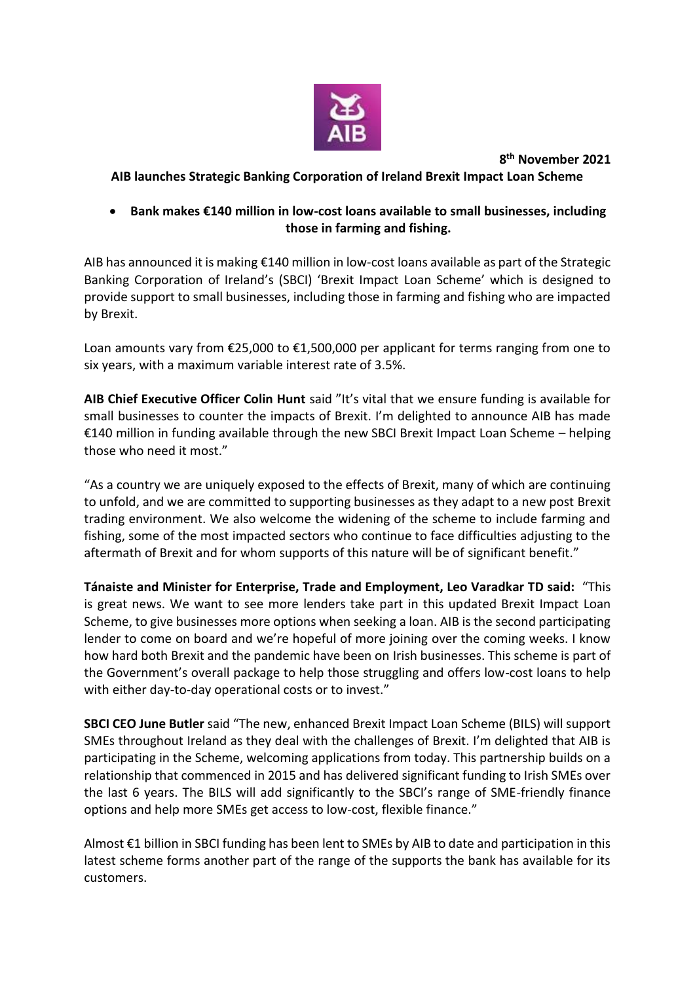

**8 th November 2021**

## **AIB launches Strategic Banking Corporation of Ireland Brexit Impact Loan Scheme**

## **Bank makes €140 million in low-cost loans available to small businesses, including those in farming and fishing.**

AIB has announced it is making €140 million in low-cost loans available as part of the Strategic Banking Corporation of Ireland's (SBCI) 'Brexit Impact Loan Scheme' which is designed to provide support to small businesses, including those in farming and fishing who are impacted by Brexit.

Loan amounts vary from €25,000 to €1,500,000 per applicant for terms ranging from one to six years, with a maximum variable interest rate of 3.5%.

**AIB Chief Executive Officer Colin Hunt** said "It's vital that we ensure funding is available for small businesses to counter the impacts of Brexit. I'm delighted to announce AIB has made €140 million in funding available through the new SBCI Brexit Impact Loan Scheme – helping those who need it most."

"As a country we are uniquely exposed to the effects of Brexit, many of which are continuing to unfold, and we are committed to supporting businesses as they adapt to a new post Brexit trading environment. We also welcome the widening of the scheme to include farming and fishing, some of the most impacted sectors who continue to face difficulties adjusting to the aftermath of Brexit and for whom supports of this nature will be of significant benefit."

**Tánaiste and Minister for Enterprise, Trade and Employment, Leo Varadkar TD said:** "This is great news. We want to see more lenders take part in this updated Brexit Impact Loan Scheme, to give businesses more options when seeking a loan. AIB is the second participating lender to come on board and we're hopeful of more joining over the coming weeks. I know how hard both Brexit and the pandemic have been on Irish businesses. This scheme is part of the Government's overall package to help those struggling and offers low-cost loans to help with either day-to-day operational costs or to invest."

**SBCI CEO June Butler** said "The new, enhanced Brexit Impact Loan Scheme (BILS) will support SMEs throughout Ireland as they deal with the challenges of Brexit. I'm delighted that AIB is participating in the Scheme, welcoming applications from today. This partnership builds on a relationship that commenced in 2015 and has delivered significant funding to Irish SMEs over the last 6 years. The BILS will add significantly to the SBCI's range of SME-friendly finance options and help more SMEs get access to low-cost, flexible finance."

Almost €1 billion in SBCI funding has been lent to SMEs by AIB to date and participation in this latest scheme forms another part of the range of the supports the bank has available for its customers.